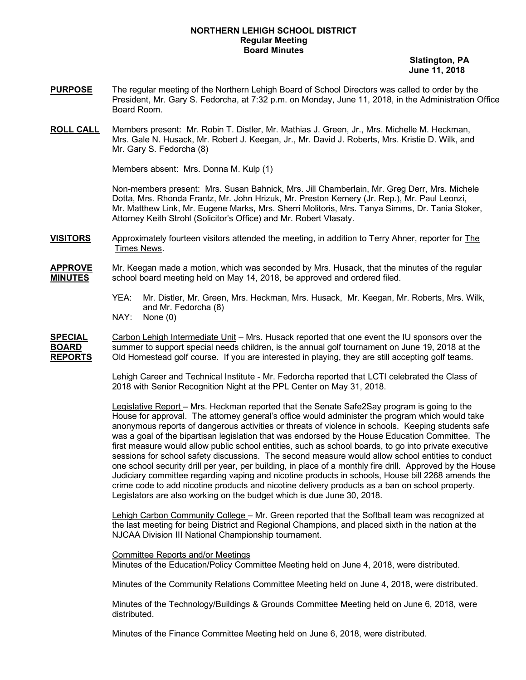#### **NORTHERN LEHIGH SCHOOL DISTRICT Regular Meeting Board Minutes**

 **Slatington, PA June 11, 2018**

- **PURPOSE** The regular meeting of the Northern Lehigh Board of School Directors was called to order by the President, Mr. Gary S. Fedorcha, at 7:32 p.m. on Monday, June 11, 2018, in the Administration Office Board Room.
- **ROLL CALL** Members present: Mr. Robin T. Distler, Mr. Mathias J. Green, Jr., Mrs. Michelle M. Heckman, Mrs. Gale N. Husack, Mr. Robert J. Keegan, Jr., Mr. David J. Roberts, Mrs. Kristie D. Wilk, and Mr. Gary S. Fedorcha (8)

Members absent: Mrs. Donna M. Kulp (1)

Non-members present: Mrs. Susan Bahnick, Mrs. Jill Chamberlain, Mr. Greg Derr, Mrs. Michele Dotta, Mrs. Rhonda Frantz, Mr. John Hrizuk, Mr. Preston Kemery (Jr. Rep.), Mr. Paul Leonzi, Mr. Matthew Link, Mr. Eugene Marks, Mrs. Sherri Molitoris, Mrs. Tanya Simms, Dr. Tania Stoker, Attorney Keith Strohl (Solicitor's Office) and Mr. Robert Vlasaty.

**VISITORS** Approximately fourteen visitors attended the meeting, in addition to Terry Ahner, reporter for The Times News.

**APPROVE** Mr. Keegan made a motion, which was seconded by Mrs. Husack, that the minutes of the regular **MINUTES** school board meeting held on May 14, 2018, be approved and ordered filed.

- YEA: Mr. Distler, Mr. Green, Mrs. Heckman, Mrs. Husack, Mr. Keegan, Mr. Roberts, Mrs. Wilk, and Mr. Fedorcha (8)
- NAY: None (0)

**SPECIAL** Carbon Lehigh Intermediate Unit – Mrs. Husack reported that one event the IU sponsors over the **BOARD** summer to support special needs children, is the annual golf tournament on June 19, 2018 at the **REPORTS** Old Homestead golf course. If you are interested in playing, they are still accepting golf teams.

> Lehigh Career and Technical Institute - Mr. Fedorcha reported that LCTI celebrated the Class of 2018 with Senior Recognition Night at the PPL Center on May 31, 2018.

Legislative Report - Mrs. Heckman reported that the Senate Safe2Say program is going to the House for approval. The attorney general's office would administer the program which would take anonymous reports of dangerous activities or threats of violence in schools. Keeping students safe was a goal of the bipartisan legislation that was endorsed by the House Education Committee. The first measure would allow public school entities, such as school boards, to go into private executive sessions for school safety discussions. The second measure would allow school entities to conduct one school security drill per year, per building, in place of a monthly fire drill. Approved by the House Judiciary committee regarding vaping and nicotine products in schools, House bill 2268 amends the crime code to add nicotine products and nicotine delivery products as a ban on school property. Legislators are also working on the budget which is due June 30, 2018.

Lehigh Carbon Community College – Mr. Green reported that the Softball team was recognized at the last meeting for being District and Regional Champions, and placed sixth in the nation at the NJCAA Division III National Championship tournament.

Committee Reports and/or Meetings Minutes of the Education/Policy Committee Meeting held on June 4, 2018, were distributed.

Minutes of the Community Relations Committee Meeting held on June 4, 2018, were distributed.

Minutes of the Technology/Buildings & Grounds Committee Meeting held on June 6, 2018, were distributed.

Minutes of the Finance Committee Meeting held on June 6, 2018, were distributed.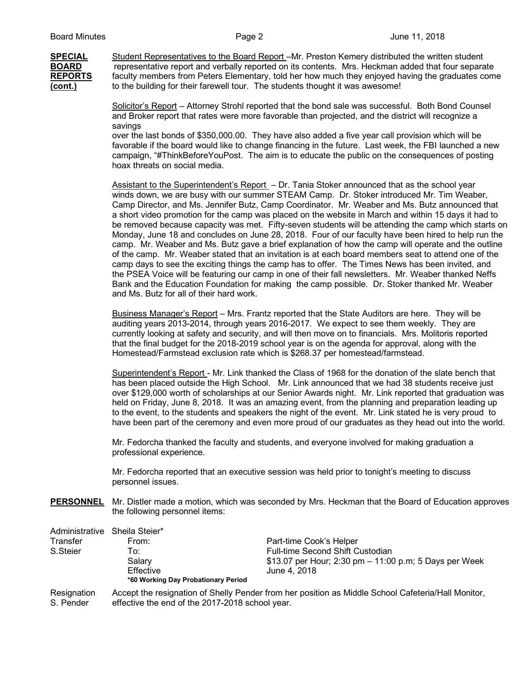**SPECIAL** Student Representatives to the Board Report –Mr. Preston Kemery distributed the written student **BOARD** representative report and verbally reported on its contents. Mrs. Heckman added that four separate **REPORTS** faculty members from Peters Elementary, told her how much they enjoyed having the graduates come **(cont.)** to the building for their farewell tour. The students thought it was awesome!

> Solicitor's Report – Attorney Strohl reported that the bond sale was successful. Both Bond Counsel and Broker report that rates were more favorable than projected, and the district will recognize a savings

over the last bonds of \$350,000.00. They have also added a five year call provision which will be favorable if the board would like to change financing in the future. Last week, the FBI launched a new campaign, "#ThinkBeforeYouPost. The aim is to educate the public on the consequences of posting hoax threats on social media.

Assistant to the Superintendent's Report - Dr. Tania Stoker announced that as the school year winds down, we are busy with our summer STEAM Camp. Dr. Stoker introduced Mr. Tim Weaber, Camp Director, and Ms. Jennifer Butz, Camp Coordinator. Mr. Weaber and Ms. Butz announced that a short video promotion for the camp was placed on the website in March and within 15 days it had to be removed because capacity was met. Fifty-seven students will be attending the camp which starts on Monday, June 18 and concludes on June 28, 2018. Four of our faculty have been hired to help run the camp. Mr. Weaber and Ms. Butz gave a brief explanation of how the camp will operate and the outline of the camp. Mr. Weaber stated that an invitation is at each board members seat to attend one of the camp days to see the exciting things the camp has to offer. The Times News has been invited, and the PSEA Voice will be featuring our camp in one of their fall newsletters. Mr. Weaber thanked Neffs Bank and the Education Foundation for making the camp possible. Dr. Stoker thanked Mr. Weaber and Ms. Butz for all of their hard work.

Business Manager's Report – Mrs. Frantz reported that the State Auditors are here. They will be auditing years 2013-2014, through years 2016-2017. We expect to see them weekly. They are currently looking at safety and security, and will then move on to financials. Mrs. Molitoris reported that the final budget for the 2018-2019 school year is on the agenda for approval, along with the Homestead/Farmstead exclusion rate which is \$268.37 per homestead/farmstead.

Superintendent's Report - Mr. Link thanked the Class of 1968 for the donation of the slate bench that has been placed outside the High School. Mr. Link announced that we had 38 students receive just over \$129,000 worth of scholarships at our Senior Awards night. Mr. Link reported that graduation was held on Friday, June 8, 2018. It was an amazing event, from the planning and preparation leading up to the event, to the students and speakers the night of the event. Mr. Link stated he is very proud to have been part of the ceremony and even more proud of our graduates as they head out into the world.

Mr. Fedorcha thanked the faculty and students, and everyone involved for making graduation a professional experience.

Mr. Fedorcha reported that an executive session was held prior to tonight's meeting to discuss personnel issues.

**PERSONNEL** Mr. Distler made a motion, which was seconded by Mrs. Heckman that the Board of Education approves the following personnel items:

| Administrative | Sheila Steier*                                  |                                                                                                    |
|----------------|-------------------------------------------------|----------------------------------------------------------------------------------------------------|
| Transfer       | From:                                           | Part-time Cook's Helper                                                                            |
| S.Steier       | To:                                             | <b>Full-time Second Shift Custodian</b>                                                            |
|                | Salary                                          | \$13.07 per Hour; 2:30 pm $-$ 11:00 p.m; 5 Days per Week                                           |
|                | Effective                                       | June 4, 2018                                                                                       |
|                | *60 Working Day Probationary Period             |                                                                                                    |
| Resignation    |                                                 | Accept the resignation of Shelly Pender from her position as Middle School Cafeteria/Hall Monitor, |
| S. Pender      | effective the end of the 2017-2018 school year. |                                                                                                    |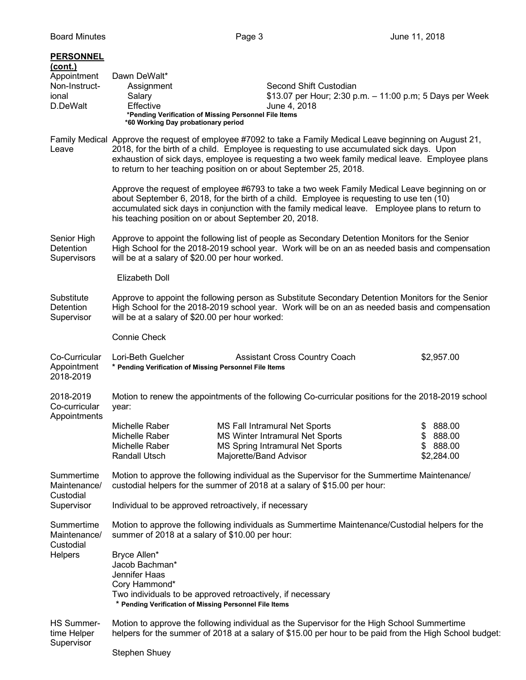| <b>PERSONNEL</b><br>(cont.)<br>Appointment<br>Non-Instruct-<br>ional<br>D.DeWalt | Dawn DeWalt*<br>Assignment<br>Salary<br>Effective<br>*Pending Verification of Missing Personnel File Items<br>*60 Working Day probationary period                                                                                                      | Second Shift Custodian<br>\$13.07 per Hour; 2:30 p.m. - 11:00 p.m; 5 Days per Week<br>June 4, 2018                                                                                                                                                                                                                                                                                |                                              |
|----------------------------------------------------------------------------------|--------------------------------------------------------------------------------------------------------------------------------------------------------------------------------------------------------------------------------------------------------|-----------------------------------------------------------------------------------------------------------------------------------------------------------------------------------------------------------------------------------------------------------------------------------------------------------------------------------------------------------------------------------|----------------------------------------------|
| Leave                                                                            |                                                                                                                                                                                                                                                        | Family Medical Approve the request of employee #7092 to take a Family Medical Leave beginning on August 21,<br>2018, for the birth of a child. Employee is requesting to use accumulated sick days. Upon<br>exhaustion of sick days, employee is requesting a two week family medical leave. Employee plans<br>to return to her teaching position on or about September 25, 2018. |                                              |
|                                                                                  | his teaching position on or about September 20, 2018.                                                                                                                                                                                                  | Approve the request of employee #6793 to take a two week Family Medical Leave beginning on or<br>about September 6, 2018, for the birth of a child. Employee is requesting to use ten (10)<br>accumulated sick days in conjunction with the family medical leave. Employee plans to return to                                                                                     |                                              |
| Senior High<br>Detention<br>Supervisors                                          | will be at a salary of \$20.00 per hour worked.                                                                                                                                                                                                        | Approve to appoint the following list of people as Secondary Detention Monitors for the Senior<br>High School for the 2018-2019 school year. Work will be on an as needed basis and compensation                                                                                                                                                                                  |                                              |
|                                                                                  | <b>Elizabeth Doll</b>                                                                                                                                                                                                                                  |                                                                                                                                                                                                                                                                                                                                                                                   |                                              |
| Substitute<br>Detention<br>Supervisor                                            | Approve to appoint the following person as Substitute Secondary Detention Monitors for the Senior<br>High School for the 2018-2019 school year. Work will be on an as needed basis and compensation<br>will be at a salary of \$20.00 per hour worked: |                                                                                                                                                                                                                                                                                                                                                                                   |                                              |
|                                                                                  | <b>Connie Check</b>                                                                                                                                                                                                                                    |                                                                                                                                                                                                                                                                                                                                                                                   |                                              |
| Co-Curricular<br>Appointment<br>2018-2019                                        | Lori-Beth Guelcher<br>* Pending Verification of Missing Personnel File Items                                                                                                                                                                           | <b>Assistant Cross Country Coach</b>                                                                                                                                                                                                                                                                                                                                              | \$2,957.00                                   |
| 2018-2019<br>Co-curricular                                                       | year:                                                                                                                                                                                                                                                  | Motion to renew the appointments of the following Co-curricular positions for the 2018-2019 school                                                                                                                                                                                                                                                                                |                                              |
| Appointments                                                                     | Michelle Raber<br>Michelle Raber<br>Michelle Raber<br>Randall Utsch                                                                                                                                                                                    | MS Fall Intramural Net Sports<br>MS Winter Intramural Net Sports<br>MS Spring Intramural Net Sports<br>Majorette/Band Advisor                                                                                                                                                                                                                                                     | 888.00<br>\$888.00<br>\$888.00<br>\$2,284.00 |
| Summertime<br>Maintenance/<br>Custodial                                          | Motion to approve the following individual as the Supervisor for the Summertime Maintenance/<br>custodial helpers for the summer of 2018 at a salary of \$15.00 per hour:                                                                              |                                                                                                                                                                                                                                                                                                                                                                                   |                                              |
| Supervisor                                                                       |                                                                                                                                                                                                                                                        |                                                                                                                                                                                                                                                                                                                                                                                   |                                              |
| Summertime<br>Maintenance/<br>Custodial                                          | Motion to approve the following individuals as Summertime Maintenance/Custodial helpers for the<br>summer of 2018 at a salary of \$10.00 per hour:                                                                                                     |                                                                                                                                                                                                                                                                                                                                                                                   |                                              |
| Helpers                                                                          | Bryce Allen*<br>Jacob Bachman*<br>Jennifer Haas<br>Cory Hammond*<br>* Pending Verification of Missing Personnel File Items                                                                                                                             | Two individuals to be approved retroactively, if necessary                                                                                                                                                                                                                                                                                                                        |                                              |
| <b>HS Summer-</b><br>time Helper<br>Supervisor                                   |                                                                                                                                                                                                                                                        | Motion to approve the following individual as the Supervisor for the High School Summertime<br>helpers for the summer of 2018 at a salary of \$15.00 per hour to be paid from the High School budget:                                                                                                                                                                             |                                              |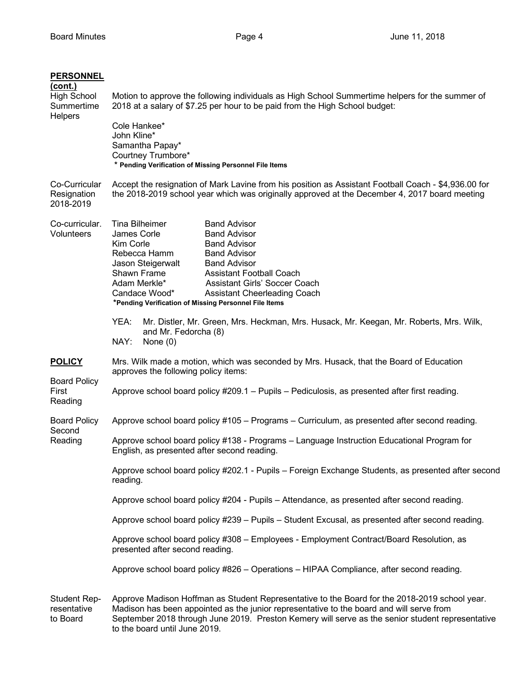| <b>PERSONNEL</b><br><u>(cont.)</u><br><b>High School</b><br>Summertime<br><b>Helpers</b> | Motion to approve the following individuals as High School Summertime helpers for the summer of<br>2018 at a salary of \$7.25 per hour to be paid from the High School budget:<br>Cole Hankee*<br>John Kline*<br>Samantha Papay*<br>Courtney Trumbore*<br>* Pending Verification of Missing Personnel File Items                                                                                                       |  |
|------------------------------------------------------------------------------------------|------------------------------------------------------------------------------------------------------------------------------------------------------------------------------------------------------------------------------------------------------------------------------------------------------------------------------------------------------------------------------------------------------------------------|--|
| Co-Curricular<br>Resignation<br>2018-2019                                                | Accept the resignation of Mark Lavine from his position as Assistant Football Coach - \$4,936.00 for<br>the 2018-2019 school year which was originally approved at the December 4, 2017 board meeting                                                                                                                                                                                                                  |  |
| Co-curricular.<br>Volunteers                                                             | Tina Bilheimer<br><b>Band Advisor</b><br>James Corle<br><b>Band Advisor</b><br>Kim Corle<br><b>Band Advisor</b><br>Rebecca Hamm<br><b>Band Advisor</b><br><b>Band Advisor</b><br>Jason Steigerwalt<br>Shawn Frame<br><b>Assistant Football Coach</b><br>Adam Merkle*<br>Assistant Girls' Soccer Coach<br>Candace Wood*<br><b>Assistant Cheerleading Coach</b><br>*Pending Verification of Missing Personnel File Items |  |
|                                                                                          | YEA:<br>Mr. Distler, Mr. Green, Mrs. Heckman, Mrs. Husack, Mr. Keegan, Mr. Roberts, Mrs. Wilk,<br>and Mr. Fedorcha (8)<br>NAY:<br>None $(0)$                                                                                                                                                                                                                                                                           |  |
| <b>POLICY</b><br><b>Board Policy</b><br>First<br>Reading                                 | Mrs. Wilk made a motion, which was seconded by Mrs. Husack, that the Board of Education<br>approves the following policy items:                                                                                                                                                                                                                                                                                        |  |
|                                                                                          | Approve school board policy #209.1 - Pupils - Pediculosis, as presented after first reading.                                                                                                                                                                                                                                                                                                                           |  |
| <b>Board Policy</b><br>Second                                                            | Approve school board policy #105 - Programs - Curriculum, as presented after second reading.                                                                                                                                                                                                                                                                                                                           |  |
| Reading                                                                                  | Approve school board policy #138 - Programs - Language Instruction Educational Program for<br>English, as presented after second reading.                                                                                                                                                                                                                                                                              |  |
|                                                                                          | Approve school board policy #202.1 - Pupils - Foreign Exchange Students, as presented after second<br>reading.                                                                                                                                                                                                                                                                                                         |  |
|                                                                                          | Approve school board policy #204 - Pupils - Attendance, as presented after second reading.                                                                                                                                                                                                                                                                                                                             |  |
|                                                                                          | Approve school board policy #239 - Pupils - Student Excusal, as presented after second reading.                                                                                                                                                                                                                                                                                                                        |  |
|                                                                                          | Approve school board policy #308 - Employees - Employment Contract/Board Resolution, as<br>presented after second reading.                                                                                                                                                                                                                                                                                             |  |
|                                                                                          | Approve school board policy #826 – Operations – HIPAA Compliance, after second reading.                                                                                                                                                                                                                                                                                                                                |  |
| <b>Student Rep-</b><br>resentative<br>to Board                                           | Approve Madison Hoffman as Student Representative to the Board for the 2018-2019 school year.<br>Madison has been appointed as the junior representative to the board and will serve from<br>September 2018 through June 2019. Preston Kemery will serve as the senior student representative<br>to the board until June 2019.                                                                                         |  |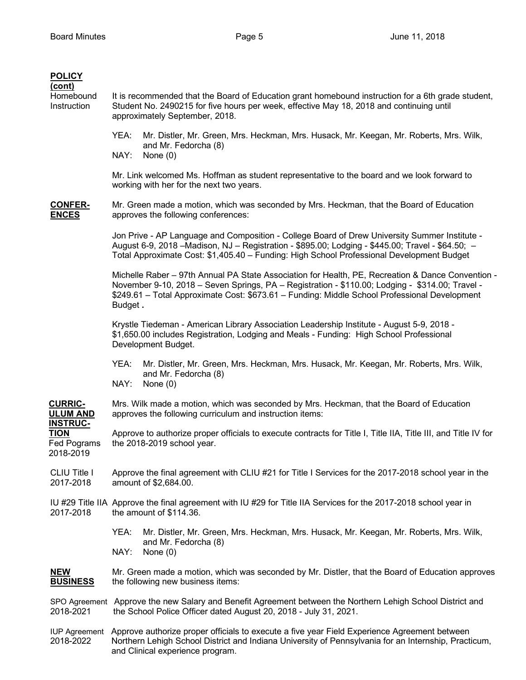| <b>POLICY</b><br>(cont)<br>Homebound<br>Instruction        | It is recommended that the Board of Education grant homebound instruction for a 6th grade student,<br>Student No. 2490215 for five hours per week, effective May 18, 2018 and continuing until<br>approximately September, 2018.                                                                                 |
|------------------------------------------------------------|------------------------------------------------------------------------------------------------------------------------------------------------------------------------------------------------------------------------------------------------------------------------------------------------------------------|
|                                                            | YEA:<br>Mr. Distler, Mr. Green, Mrs. Heckman, Mrs. Husack, Mr. Keegan, Mr. Roberts, Mrs. Wilk,<br>and Mr. Fedorcha (8)<br>NAY:<br>None $(0)$                                                                                                                                                                     |
|                                                            | Mr. Link welcomed Ms. Hoffman as student representative to the board and we look forward to<br>working with her for the next two years.                                                                                                                                                                          |
| <b>CONFER-</b><br><b>ENCES</b>                             | Mr. Green made a motion, which was seconded by Mrs. Heckman, that the Board of Education<br>approves the following conferences:                                                                                                                                                                                  |
|                                                            | Jon Prive - AP Language and Composition - College Board of Drew University Summer Institute -<br>August 6-9, 2018 –Madison, NJ – Registration - \$895.00; Lodging - \$445.00; Travel - \$64.50; –<br>Total Approximate Cost: \$1,405.40 - Funding: High School Professional Development Budget                   |
|                                                            | Michelle Raber - 97th Annual PA State Association for Health, PE, Recreation & Dance Convention -<br>November 9-10, 2018 - Seven Springs, PA - Registration - \$110.00; Lodging - \$314.00; Travel -<br>\$249.61 - Total Approximate Cost: \$673.61 - Funding: Middle School Professional Development<br>Budget. |
|                                                            | Krystle Tiedeman - American Library Association Leadership Institute - August 5-9, 2018 -<br>\$1,650.00 includes Registration, Lodging and Meals - Funding: High School Professional<br>Development Budget.                                                                                                      |
|                                                            | YEA:<br>Mr. Distler, Mr. Green, Mrs. Heckman, Mrs. Husack, Mr. Keegan, Mr. Roberts, Mrs. Wilk,<br>and Mr. Fedorcha (8)<br>NAY:<br>None $(0)$                                                                                                                                                                     |
| <b>CURRIC-</b><br><b>ULUM AND</b>                          | Mrs. Wilk made a motion, which was seconded by Mrs. Heckman, that the Board of Education<br>approves the following curriculum and instruction items:                                                                                                                                                             |
| <b>INSTRUC-</b><br><b>TION</b><br>Fed Pograms<br>2018-2019 | Approve to authorize proper officials to execute contracts for Title I, Title IIA, Title III, and Title IV for<br>the 2018-2019 school year.                                                                                                                                                                     |
| <b>CLIU Title I</b><br>2017-2018                           | Approve the final agreement with CLIU #21 for Title I Services for the 2017-2018 school year in the<br>amount of \$2,684.00.                                                                                                                                                                                     |
| 2017-2018                                                  | IU #29 Title IIA Approve the final agreement with IU #29 for Title IIA Services for the 2017-2018 school year in<br>the amount of \$114.36.                                                                                                                                                                      |
|                                                            | Mr. Distler, Mr. Green, Mrs. Heckman, Mrs. Husack, Mr. Keegan, Mr. Roberts, Mrs. Wilk,<br>YEA:<br>and Mr. Fedorcha (8)<br>NAY:<br>None $(0)$                                                                                                                                                                     |
| <b>NEW</b><br><b>BUSINESS</b>                              | Mr. Green made a motion, which was seconded by Mr. Distler, that the Board of Education approves<br>the following new business items:                                                                                                                                                                            |
| 2018-2021                                                  | SPO Agreement Approve the new Salary and Benefit Agreement between the Northern Lehigh School District and<br>the School Police Officer dated August 20, 2018 - July 31, 2021.                                                                                                                                   |
| <b>IUP Agreement</b><br>2018-2022                          | Approve authorize proper officials to execute a five year Field Experience Agreement between<br>Northern Lehigh School District and Indiana University of Pennsylvania for an Internship, Practicum,<br>and Clinical experience program.                                                                         |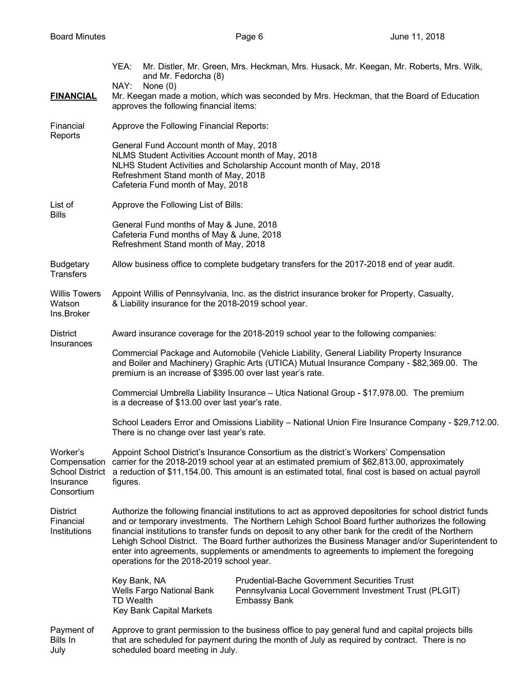|                                                                               | Mr. Distler, Mr. Green, Mrs. Heckman, Mrs. Husack, Mr. Keegan, Mr. Roberts, Mrs. Wilk,<br>YEA:<br>and Mr. Fedorcha (8)<br>NAY:<br>None $(0)$                                                                                                                                                                                                                                                                                                                                                                                                                        |  |
|-------------------------------------------------------------------------------|---------------------------------------------------------------------------------------------------------------------------------------------------------------------------------------------------------------------------------------------------------------------------------------------------------------------------------------------------------------------------------------------------------------------------------------------------------------------------------------------------------------------------------------------------------------------|--|
| <b>FINANCIAL</b>                                                              | Mr. Keegan made a motion, which was seconded by Mrs. Heckman, that the Board of Education<br>approves the following financial items:                                                                                                                                                                                                                                                                                                                                                                                                                                |  |
| Financial<br>Reports                                                          | Approve the Following Financial Reports:                                                                                                                                                                                                                                                                                                                                                                                                                                                                                                                            |  |
|                                                                               | General Fund Account month of May, 2018<br>NLMS Student Activities Account month of May, 2018<br>NLHS Student Activities and Scholarship Account month of May, 2018<br>Refreshment Stand month of May, 2018<br>Cafeteria Fund month of May, 2018                                                                                                                                                                                                                                                                                                                    |  |
| List of<br><b>Bills</b>                                                       | Approve the Following List of Bills:                                                                                                                                                                                                                                                                                                                                                                                                                                                                                                                                |  |
|                                                                               | General Fund months of May & June, 2018<br>Cafeteria Fund months of May & June, 2018<br>Refreshment Stand month of May, 2018                                                                                                                                                                                                                                                                                                                                                                                                                                        |  |
| <b>Budgetary</b><br><b>Transfers</b>                                          | Allow business office to complete budgetary transfers for the 2017-2018 end of year audit.                                                                                                                                                                                                                                                                                                                                                                                                                                                                          |  |
| <b>Willis Towers</b><br>Watson<br>Ins.Broker                                  | Appoint Willis of Pennsylvania, Inc. as the district insurance broker for Property, Casualty,<br>& Liability insurance for the 2018-2019 school year.                                                                                                                                                                                                                                                                                                                                                                                                               |  |
| <b>District</b><br>Insurances                                                 | Award insurance coverage for the 2018-2019 school year to the following companies:                                                                                                                                                                                                                                                                                                                                                                                                                                                                                  |  |
|                                                                               | Commercial Package and Automobile (Vehicle Liability, General Liability Property Insurance<br>and Boiler and Machinery) Graphic Arts (UTICA) Mutual Insurance Company - \$82,369.00. The<br>premium is an increase of \$395.00 over last year's rate.                                                                                                                                                                                                                                                                                                               |  |
|                                                                               | Commercial Umbrella Liability Insurance - Utica National Group - \$17,978.00. The premium<br>is a decrease of \$13.00 over last year's rate.                                                                                                                                                                                                                                                                                                                                                                                                                        |  |
|                                                                               | School Leaders Error and Omissions Liability - National Union Fire Insurance Company - \$29,712.00.<br>There is no change over last year's rate.                                                                                                                                                                                                                                                                                                                                                                                                                    |  |
| Worker's<br>Compensation<br><b>School District</b><br>Insurance<br>Consortium | Appoint School District's Insurance Consortium as the district's Workers' Compensation<br>carrier for the 2018-2019 school year at an estimated premium of \$62,813.00, approximately<br>a reduction of \$11,154.00. This amount is an estimated total, final cost is based on actual payroll<br>figures.                                                                                                                                                                                                                                                           |  |
| <b>District</b><br>Financial<br>Institutions                                  | Authorize the following financial institutions to act as approved depositories for school district funds<br>and or temporary investments. The Northern Lehigh School Board further authorizes the following<br>financial institutions to transfer funds on deposit to any other bank for the credit of the Northern<br>Lehigh School District. The Board further authorizes the Business Manager and/or Superintendent to<br>enter into agreements, supplements or amendments to agreements to implement the foregoing<br>operations for the 2018-2019 school year. |  |
|                                                                               | <b>Prudential-Bache Government Securities Trust</b><br>Key Bank, NA<br>Wells Fargo National Bank<br>Pennsylvania Local Government Investment Trust (PLGIT)<br><b>TD Wealth</b><br><b>Embassy Bank</b><br>Key Bank Capital Markets                                                                                                                                                                                                                                                                                                                                   |  |
| Payment of<br>Bills In<br>July                                                | Approve to grant permission to the business office to pay general fund and capital projects bills<br>that are scheduled for payment during the month of July as required by contract. There is no<br>scheduled board meeting in July.                                                                                                                                                                                                                                                                                                                               |  |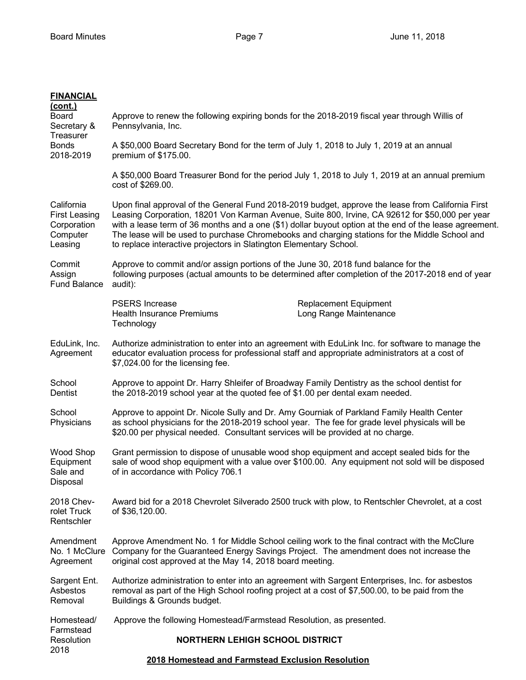# **FINANCIAL**

| <u>(cont.)</u><br>Board<br>Secretary &                                   | Approve to renew the following expiring bonds for the 2018-2019 fiscal year through Willis of<br>Pennsylvania, Inc.                                                                                                                                                                                                                                                                                                                                                                    |
|--------------------------------------------------------------------------|----------------------------------------------------------------------------------------------------------------------------------------------------------------------------------------------------------------------------------------------------------------------------------------------------------------------------------------------------------------------------------------------------------------------------------------------------------------------------------------|
| Treasurer<br><b>Bonds</b><br>2018-2019                                   | A \$50,000 Board Secretary Bond for the term of July 1, 2018 to July 1, 2019 at an annual<br>premium of \$175.00.                                                                                                                                                                                                                                                                                                                                                                      |
|                                                                          | A \$50,000 Board Treasurer Bond for the period July 1, 2018 to July 1, 2019 at an annual premium<br>cost of \$269.00.                                                                                                                                                                                                                                                                                                                                                                  |
| California<br><b>First Leasing</b><br>Corporation<br>Computer<br>Leasing | Upon final approval of the General Fund 2018-2019 budget, approve the lease from California First<br>Leasing Corporation, 18201 Von Karman Avenue, Suite 800, Irvine, CA 92612 for \$50,000 per year<br>with a lease term of 36 months and a one (\$1) dollar buyout option at the end of the lease agreement.<br>The lease will be used to purchase Chromebooks and charging stations for the Middle School and<br>to replace interactive projectors in Slatington Elementary School. |
| Commit<br>Assign<br><b>Fund Balance</b>                                  | Approve to commit and/or assign portions of the June 30, 2018 fund balance for the<br>following purposes (actual amounts to be determined after completion of the 2017-2018 end of year<br>audit):                                                                                                                                                                                                                                                                                     |
|                                                                          | <b>PSERS</b> Increase<br><b>Replacement Equipment</b><br>Long Range Maintenance<br><b>Health Insurance Premiums</b><br>Technology                                                                                                                                                                                                                                                                                                                                                      |
| EduLink, Inc.<br>Agreement                                               | Authorize administration to enter into an agreement with EduLink Inc. for software to manage the<br>educator evaluation process for professional staff and appropriate administrators at a cost of<br>\$7,024.00 for the licensing fee.                                                                                                                                                                                                                                                |
| School<br>Dentist                                                        | Approve to appoint Dr. Harry Shleifer of Broadway Family Dentistry as the school dentist for<br>the 2018-2019 school year at the quoted fee of \$1.00 per dental exam needed.                                                                                                                                                                                                                                                                                                          |
| School<br>Physicians                                                     | Approve to appoint Dr. Nicole Sully and Dr. Amy Gourniak of Parkland Family Health Center<br>as school physicians for the 2018-2019 school year. The fee for grade level physicals will be<br>\$20.00 per physical needed. Consultant services will be provided at no charge.                                                                                                                                                                                                          |
| Wood Shop<br>Equipment<br>Sale and<br>Disposal                           | Grant permission to dispose of unusable wood shop equipment and accept sealed bids for the<br>sale of wood shop equipment with a value over \$100.00. Any equipment not sold will be disposed<br>of in accordance with Policy 706.1                                                                                                                                                                                                                                                    |
| 2018 Chev-<br>rolet Truck<br>Rentschler                                  | Award bid for a 2018 Chevrolet Silverado 2500 truck with plow, to Rentschler Chevrolet, at a cost<br>of \$36,120.00.                                                                                                                                                                                                                                                                                                                                                                   |
| Amendment<br>No. 1 McClure<br>Agreement                                  | Approve Amendment No. 1 for Middle School ceiling work to the final contract with the McClure<br>Company for the Guaranteed Energy Savings Project. The amendment does not increase the<br>original cost approved at the May 14, 2018 board meeting.                                                                                                                                                                                                                                   |
| Sargent Ent.<br>Asbestos<br>Removal                                      | Authorize administration to enter into an agreement with Sargent Enterprises, Inc. for asbestos<br>removal as part of the High School roofing project at a cost of \$7,500.00, to be paid from the<br>Buildings & Grounds budget.                                                                                                                                                                                                                                                      |
| Homestead/                                                               | Approve the following Homestead/Farmstead Resolution, as presented.                                                                                                                                                                                                                                                                                                                                                                                                                    |
| Farmstead<br>Resolution<br>2018                                          | <b>NORTHERN LEHIGH SCHOOL DISTRICT</b>                                                                                                                                                                                                                                                                                                                                                                                                                                                 |
|                                                                          | 2018 Homestead and Farmstead Exclusion Resolution                                                                                                                                                                                                                                                                                                                                                                                                                                      |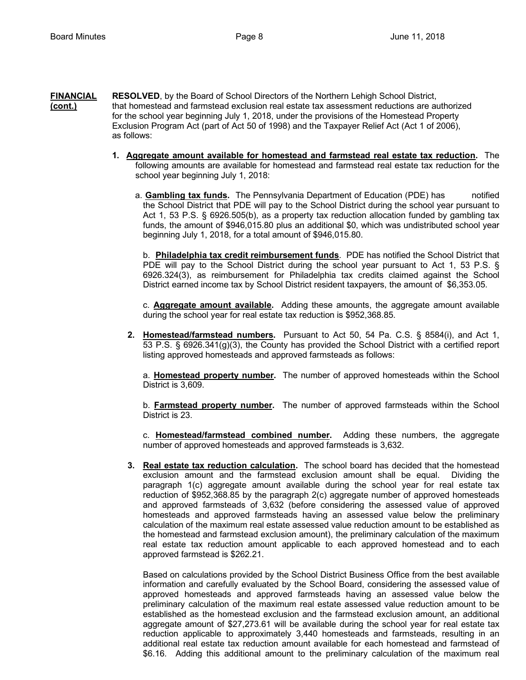- **FINANCIAL RESOLVED**, by the Board of School Directors of the Northern Lehigh School District, **(cont.)** that homestead and farmstead exclusion real estate tax assessment reductions are authorized for the school year beginning July 1, 2018, under the provisions of the Homestead Property Exclusion Program Act (part of Act 50 of 1998) and the Taxpayer Relief Act (Act 1 of 2006), as follows:
	- **1. Aggregate amount available for homestead and farmstead real estate tax reduction.** The following amounts are available for homestead and farmstead real estate tax reduction for the school year beginning July 1, 2018:
		- a. **Gambling tax funds.** The Pennsylvania Department of Education (PDE) has notified the School District that PDE will pay to the School District during the school year pursuant to Act 1, 53 P.S. § 6926.505(b), as a property tax reduction allocation funded by gambling tax funds, the amount of \$946,015.80 plus an additional \$0, which was undistributed school year beginning July 1, 2018, for a total amount of \$946,015.80.

b. **Philadelphia tax credit reimbursement funds**. PDE has notified the School District that PDE will pay to the School District during the school year pursuant to Act 1, 53 P.S. § 6926.324(3), as reimbursement for Philadelphia tax credits claimed against the School District earned income tax by School District resident taxpayers, the amount of \$6,353.05.

c. **Aggregate amount available.** Adding these amounts, the aggregate amount available during the school year for real estate tax reduction is \$952,368.85.

**2. Homestead/farmstead numbers.** Pursuant to Act 50, 54 Pa. C.S. § 8584(i), and Act 1, 53 P.S. § 6926.341(g)(3), the County has provided the School District with a certified report listing approved homesteads and approved farmsteads as follows:

a. **Homestead property number.** The number of approved homesteads within the School District is 3,609.

b. **Farmstead property number.** The number of approved farmsteads within the School District is 23.

c. **Homestead/farmstead combined number.** Adding these numbers, the aggregate number of approved homesteads and approved farmsteads is 3,632.

**3. Real estate tax reduction calculation.** The school board has decided that the homestead exclusion amount and the farmstead exclusion amount shall be equal. Dividing the paragraph 1(c) aggregate amount available during the school year for real estate tax reduction of \$952,368.85 by the paragraph 2(c) aggregate number of approved homesteads and approved farmsteads of 3,632 (before considering the assessed value of approved homesteads and approved farmsteads having an assessed value below the preliminary calculation of the maximum real estate assessed value reduction amount to be established as the homestead and farmstead exclusion amount), the preliminary calculation of the maximum real estate tax reduction amount applicable to each approved homestead and to each approved farmstead is \$262.21.

Based on calculations provided by the School District Business Office from the best available information and carefully evaluated by the School Board, considering the assessed value of approved homesteads and approved farmsteads having an assessed value below the preliminary calculation of the maximum real estate assessed value reduction amount to be established as the homestead exclusion and the farmstead exclusion amount, an additional aggregate amount of \$27,273.61 will be available during the school year for real estate tax reduction applicable to approximately 3,440 homesteads and farmsteads, resulting in an additional real estate tax reduction amount available for each homestead and farmstead of \$6.16. Adding this additional amount to the preliminary calculation of the maximum real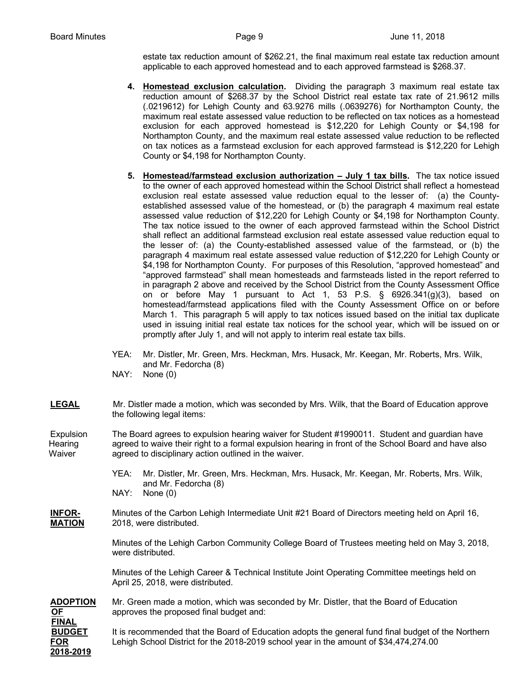estate tax reduction amount of \$262.21, the final maximum real estate tax reduction amount applicable to each approved homestead and to each approved farmstead is \$268.37.

- **4. Homestead exclusion calculation.** Dividing the paragraph 3 maximum real estate tax reduction amount of \$268.37 by the School District real estate tax rate of 21.9612 mills (.0219612) for Lehigh County and 63.9276 mills (.0639276) for Northampton County, the maximum real estate assessed value reduction to be reflected on tax notices as a homestead exclusion for each approved homestead is \$12,220 for Lehigh County or \$4,198 for Northampton County, and the maximum real estate assessed value reduction to be reflected on tax notices as a farmstead exclusion for each approved farmstead is \$12,220 for Lehigh County or \$4,198 for Northampton County.
- **5. Homestead/farmstead exclusion authorization – July 1 tax bills.** The tax notice issued to the owner of each approved homestead within the School District shall reflect a homestead exclusion real estate assessed value reduction equal to the lesser of: (a) the Countyestablished assessed value of the homestead, or (b) the paragraph 4 maximum real estate assessed value reduction of \$12,220 for Lehigh County or \$4,198 for Northampton County. The tax notice issued to the owner of each approved farmstead within the School District shall reflect an additional farmstead exclusion real estate assessed value reduction equal to the lesser of: (a) the County-established assessed value of the farmstead, or (b) the paragraph 4 maximum real estate assessed value reduction of \$12,220 for Lehigh County or \$4,198 for Northampton County. For purposes of this Resolution, "approved homestead" and "approved farmstead" shall mean homesteads and farmsteads listed in the report referred to in paragraph 2 above and received by the School District from the County Assessment Office on or before May 1 pursuant to Act 1, 53 P.S. § 6926.341(g)(3), based on homestead/farmstead applications filed with the County Assessment Office on or before March 1. This paragraph 5 will apply to tax notices issued based on the initial tax duplicate used in issuing initial real estate tax notices for the school year, which will be issued on or promptly after July 1, and will not apply to interim real estate tax bills.
- YEA: Mr. Distler, Mr. Green, Mrs. Heckman, Mrs. Husack, Mr. Keegan, Mr. Roberts, Mrs. Wilk, and Mr. Fedorcha (8)
- NAY: None (0)
- LEGAL Mr. Distler made a motion, which was seconded by Mrs. Wilk, that the Board of Education approve the following legal items:

Expulsion The Board agrees to expulsion hearing waiver for Student #1990011. Student and guardian have Hearing agreed to waive their right to a formal expulsion hearing in front of the School Board and have also Waiver agreed to disciplinary action outlined in the waiver.

- YEA: Mr. Distler, Mr. Green, Mrs. Heckman, Mrs. Husack, Mr. Keegan, Mr. Roberts, Mrs. Wilk, and Mr. Fedorcha (8)
- NAY: None (0)
- **INFOR-** Minutes of the Carbon Lehigh Intermediate Unit #21 Board of Directors meeting held on April 16, **MATION** 2018, were distributed.

Minutes of the Lehigh Carbon Community College Board of Trustees meeting held on May 3, 2018, were distributed.

Minutes of the Lehigh Career & Technical Institute Joint Operating Committee meetings held on April 25, 2018, were distributed.

**ADOPTION** Mr. Green made a motion, which was seconded by Mr. Distler, that the Board of Education **OF** approves the proposed final budget and: **FINAL BUDGET** It is recommended that the Board of Education adopts the general fund final budget of the Northern **FOR** Lehigh School District for the 2018-2019 school year in the amount of \$34,474,274.00 **2018-2019**